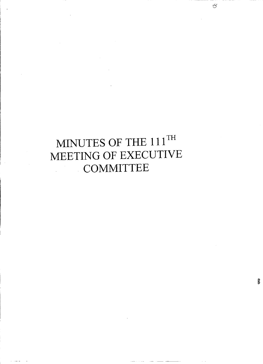# MINUTES OF THE  $111^{\mathrm{TH}}$ MEETING OF EXECUTIVE . COMMITTEE

 $\beta$ 

 $\mathbf{B}$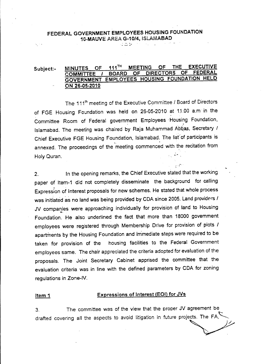# FEDERAL GOVERNMENT EMPLOYEES HOUSING FOUNDATION 10-MAUVE AREA G-10/4, ISLAMABAD ನಿಯರ್

# Subject:- MINUTES OF 111<sup>TH</sup> MEETING OF THE EXECUTIVE<br>COMMITTEE / BOARD OF DIRECTORS OF FEDERAL COMMITTEE / BOARD OF DIRECTORS OF FEDERAL GOVERNMENT EMPLOYEES HOUSING FOUNDATION HELD ON 26-05-2010

The 111th meeting of the Executive Committee *I* Board of Directors of FGE Housing Foundation was held on 26-05-2010 at 1.1.00 a.m in the Committee Room of Federal government Employees' Housing Foundation, . . Islamabad. The meeting was chaired by Raja Muhammad Abbas, Secretary / Chief Executive FGE Housing Foundation, Islamabad. The list of participants is annexed. The proceedings of the meeting commenced with the recitation from Holy Quran.

2. In the opening remarks, the Chief Executive stated that the working paper of Item-1 did not completely disseminate the background for calling paper of Item-1 did not completely disseminate the background for calling<br>Expression of Interest proposals for new schemes. He stated that whole process was initiated as no land was being provided by CDA since 2005. Land providers *I* JV companies were approaching individually for provision of land to Housing Foundafion. He *also* underlined the fact that more than 18000 government employees were registered through Membership Drive for provision of plots *I* apartments by the Housing Foundation and immediate steps were required to be taken for provision of the housing facilities to the Federal Government employees same. The chair appreciated the criteria adopted for evaluation of the proposals. The Joint Secretary Cabinet apprised the committee that the evaluation criteria was in line with the defined parameters by CDA for zoning regulations in Zone-IV.

 $\zeta_0 \to \zeta$ 

# Item 1 Expressions of Interest (EOI) for JVs

3. The committee was of the view that the proper JV agreement be drafted covering all the aspects to avoid litigation in future projects. The FA, ./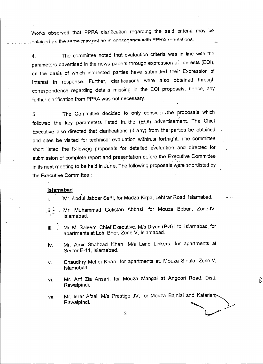Works observed that PPRA clarification regarding the said criteria may be obtained as the same may not be in consonance with PPRA requlations.

4. The committee noted that evaluation criteria was in line with the parameters advertised in the news papers through expression of interests (EOI), on the basis of which interested parties have submitted their Expression of Interest in response. Further, clarifications were also obtained through correspondence regarding details missing in the EOI proposals, hence, any further clarification from PPRA was not necessary.

5. The Committee decided to only consider the proposals which followed the key parameters listed in the (EOI) advertisement. The Chief Executive also directed that clarifications (if any) from the' parties be obtained and sites be visited for technical evaluation within a fortnight. The committee short listed the following proposals for detailed evaluation and directed for submission of complete report and presentation before the Executive Committee in its next meeting to be held in June. The following proposals were shortlisted by the Executive Committee:

#### Islamabad

Mr. Abdul Jabbar Satti, for Madza Kirpa, Lehtrar Road, Islamabad.

ii. • ..

i.

Mr. Muhammad Gulistan Abbasi, for Mouza Sobari, Zone-IV, Islamabad .

1'.

D.

- iii. . Mr. M. Saleem, Chief Executive, MIs Diyan (Pvt) Ltd, Islamabad, for apartments at Lohi Sher, Zone-V, Islamabad.
- iv. Mr. Amir Shahzad Khan, MIs Land Linkers, for apartments at Sector E-11, Islamabad.
- v. Chaudhry Mehdi Khan, for apartments at. Mouza Sihala, Zone-V, Islamabad.
- vi. Mr. Arif Zia Ansari, for Mouza Mangal at Angoori Road, Distt. Rawalpindi.
- vii. Mr. Israr Afzal, M/s Prestige JV, for Mouza Bajnial and Kat Rawalpindi.

2  $\sim$   $\sim$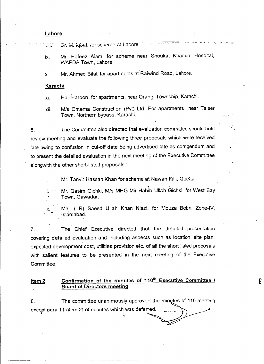### **Lahore**

-:: ... *- • \_.".i,*

Dr. M. Iqbal, for scheme at Lahore. **Yili.**

- ix. Mr. Hafeez Alam, for scheme near Shoukat Khanum Hospital, WAPDA Town, Lahore.
- X. Mr. Ahmed Bilal, for apartments at Raiwind Road, Lahore.

## Karachi

- xi. Haji Haroon, for apartments, near Orangi Township, Karachi.
- xii. M/s Omema Construction (Pvt) Ltd. For apartments near Taiser Town, Northern bypass, Karachi.

.-"..

 $\mathcal{L}_{\mathcal{L}}$ 

R

6. The Committee also directed that evaluation committee should hold review meeting and evaluate the following three proposals which were received late owing to confusion in cut-off date being advertised late as corrigendum and to present the detailed evaluation in the next meeting of the Executive Committee alongwith the other short-listed proposals:

> Mr. Tanvir Hassan Khan for scheme at Nawan Killi, Quetta. ...•.

Mr. Qasim Gichki, MIs MHG Mir Habib Ullah Gichki, for West Bay Town, Gawadar.

iii. - **.•..**

i.

ii.

Maj. ( R) Saeed Ullah Khan Niazi, for Mouza Sobri, Zone-IV, Islamabad.

7. The Chief Executive directed that the detailed presentation covering detailed evaluation and including aspects such as location, site plan, expected development cost, utilities provision etc. of all the short listed proposals with salient features to be presented in the next meeting of the Executive Committee.

Item 2 Confirmation of the minutes of 110<sup>th</sup> Executive Committee / Board of Directors meeting

8. The committee unanimously approved the minutes of 110 meeting except oara 11 *(item* 2) of minutes which was deferred. 3 . ./